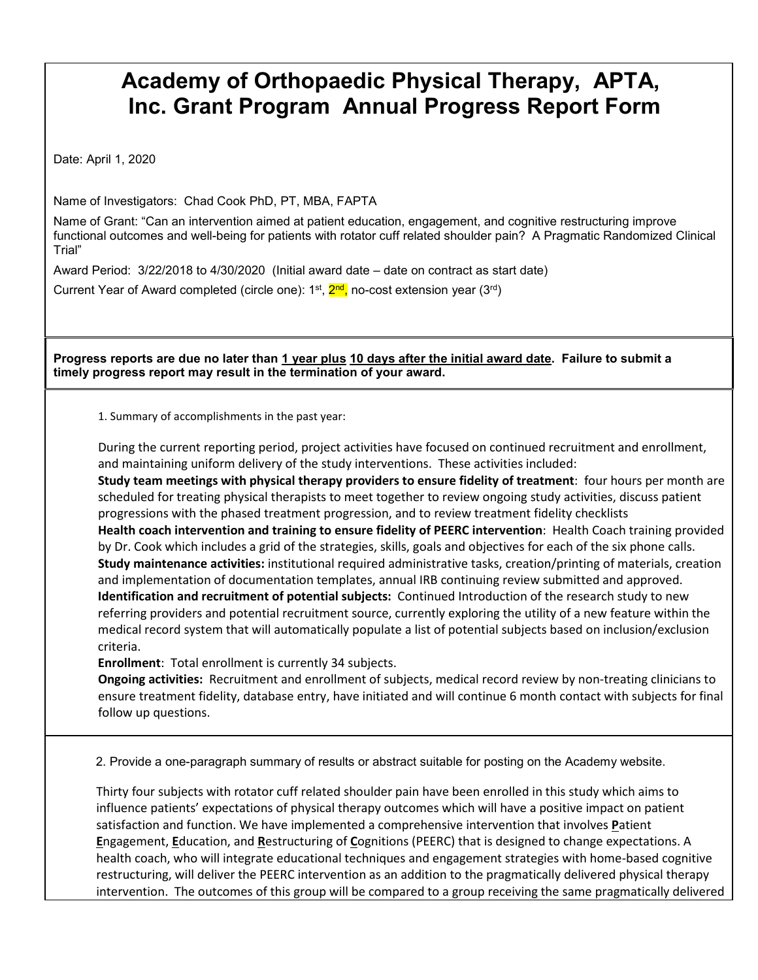## **Academy of Orthopaedic Physical Therapy, APTA, Inc. Grant Program Annual Progress Report Form**

Date: April 1, 2020

Name of Investigators: Chad Cook PhD, PT, MBA, FAPTA

Name of Grant: "Can an intervention aimed at patient education, engagement, and cognitive restructuring improve functional outcomes and well-being for patients with rotator cuff related shoulder pain? A Pragmatic Randomized Clinical Trial"

Award Period: 3/22/2018 to 4/30/2020 (Initial award date – date on contract as start date)

Current Year of Award completed (circle one):  $1^{st}$ ,  $2^{nd}$ , no-cost extension year ( $3^{rd}$ )

**Progress reports are due no later than 1 year plus 10 days after the initial award date. Failure to submit a timely progress report may result in the termination of your award.** 

1. Summary of accomplishments in the past year:

During the current reporting period, project activities have focused on continued recruitment and enrollment, and maintaining uniform delivery of the study interventions.These activities included:

**Study team meetings with physical therapy providers to ensure fidelity of treatment**: four hours per month are scheduled for treating physical therapists to meet together to review ongoing study activities, discuss patient progressions with the phased treatment progression, and to review treatment fidelity checklists **Health coach intervention and training to ensure fidelity of PEERC intervention**: Health Coach training provided by Dr. Cook which includes a grid of the strategies, skills, goals and objectives for each of the six phone calls. **Study maintenance activities:** institutional required administrative tasks, creation/printing of materials, creation and implementation of documentation templates, annual IRB continuing review submitted and approved. **Identification and recruitment of potential subjects:** Continued Introduction of the research study to new referring providers and potential recruitment source, currently exploring the utility of a new feature within the medical record system that will automatically populate a list of potential subjects based on inclusion/exclusion criteria.

**Enrollment**: Total enrollment is currently 34 subjects.

**Ongoing activities:** Recruitment and enrollment of subjects, medical record review by non-treating clinicians to ensure treatment fidelity, database entry, have initiated and will continue 6 month contact with subjects for final follow up questions.

2. Provide a one-paragraph summary of results or abstract suitable for posting on the Academy website.

Thirty four subjects with rotator cuff related shoulder pain have been enrolled in this study which aims to influence patients' expectations of physical therapy outcomes which will have a positive impact on patient satisfaction and function. We have implemented a comprehensive intervention that involves **P**atient **E**ngagement, **E**ducation, and **R**estructuring of **C**ognitions (PEERC) that is designed to change expectations. A health coach, who will integrate educational techniques and engagement strategies with home-based cognitive restructuring, will deliver the PEERC intervention as an addition to the pragmatically delivered physical therapy intervention. The outcomes of this group will be compared to a group receiving the same pragmatically delivered